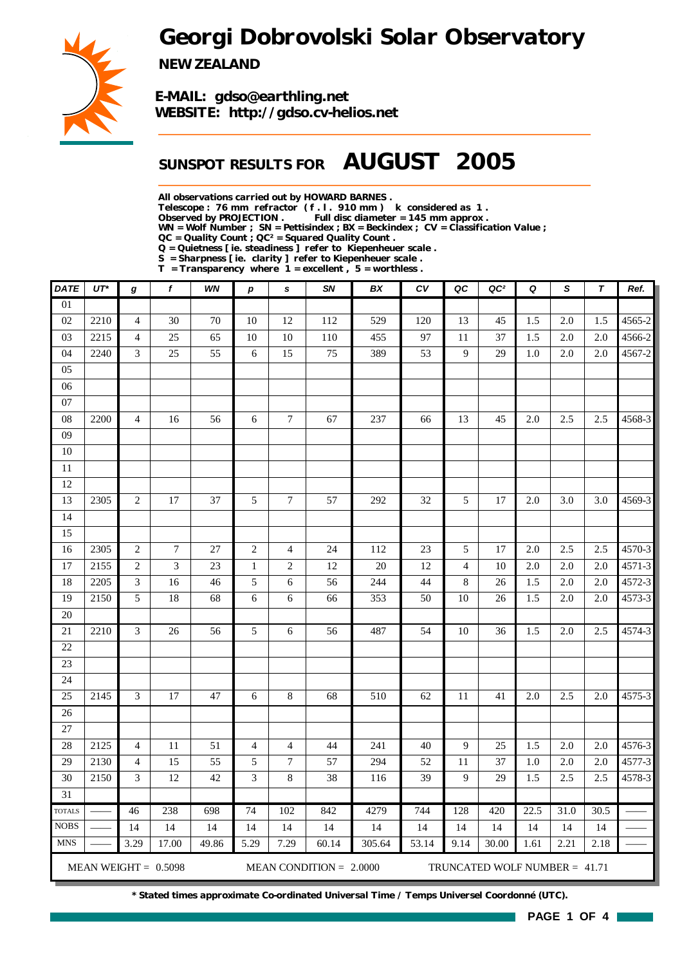# *Georgi Dobrovolski Solar Observatory*



*NEW ZEALAND*

*E-MAIL: gdso@earthling.net WEBSITE: http://gdso.cv-helios.net*

## *SUNSPOT RESULTS FOR AUGUST 2005*

*All observations carried out by HOWARD BARNES .*

*Telescope : 76 mm refractor ( f . l . 910 mm ) k considered as 1 .*

Full disc diameter = 145 mm approx .

*WN = Wolf Number ; SN = Pettisindex ; BX = Beckindex ; CV = Classification Value ;*

*QC = Quality Count ; QC² = Squared Quality Count .*

*Q = Quietness [ ie. steadiness ] refer to Kiepenheuer scale .*

*S = Sharpness [ ie. clarity ] refer to Kiepenheuer scale . T = Transparency where 1 = excellent , 5 = worthless .*

| <b>DATE</b>     | $UT^*$ | g              | f                      | WN    | р              | $\mathbf s$      | SN                        | BX     | c v   | QC             | QC <sup>2</sup>                 | Q    | S    | T     | Ref.   |
|-----------------|--------|----------------|------------------------|-------|----------------|------------------|---------------------------|--------|-------|----------------|---------------------------------|------|------|-------|--------|
| $\overline{01}$ |        |                |                        |       |                |                  |                           |        |       |                |                                 |      |      |       |        |
| 02              | 2210   | $\overline{4}$ | 30                     | 70    | 10             | 12               | 112                       | 529    | 120   | 13             | 45                              | 1.5  | 2.0  | 1.5   | 4565-2 |
| 03              | 2215   | $\overline{4}$ | 25                     | 65    | 10             | 10               | 110                       | 455    | 97    | 11             | 37                              | 1.5  | 2.0  | 2.0   | 4566-2 |
| 04              | 2240   | $\mathfrak{Z}$ | 25                     | 55    | 6              | 15               | 75                        | 389    | 53    | $\overline{9}$ | 29                              | 1.0  | 2.0  | 2.0   | 4567-2 |
| 05              |        |                |                        |       |                |                  |                           |        |       |                |                                 |      |      |       |        |
| 06              |        |                |                        |       |                |                  |                           |        |       |                |                                 |      |      |       |        |
| $07\,$          |        |                |                        |       |                |                  |                           |        |       |                |                                 |      |      |       |        |
| $08\,$          | 2200   | $\overline{4}$ | 16                     | 56    | 6              | $\boldsymbol{7}$ | 67                        | 237    | 66    | 13             | 45                              | 2.0  | 2.5  | 2.5   | 4568-3 |
| 09              |        |                |                        |       |                |                  |                           |        |       |                |                                 |      |      |       |        |
| 10              |        |                |                        |       |                |                  |                           |        |       |                |                                 |      |      |       |        |
| $11\,$          |        |                |                        |       |                |                  |                           |        |       |                |                                 |      |      |       |        |
| 12              |        |                |                        |       |                |                  |                           |        |       |                |                                 |      |      |       |        |
| 13              | 2305   | $\sqrt{2}$     | 17                     | 37    | 5              | $\tau$           | 57                        | 292    | 32    | 5              | 17                              | 2.0  | 3.0  | 3.0   | 4569-3 |
| 14              |        |                |                        |       |                |                  |                           |        |       |                |                                 |      |      |       |        |
| 15              |        |                |                        |       |                |                  |                           |        |       |                |                                 |      |      |       |        |
| 16              | 2305   | $\sqrt{2}$     | $\overline{7}$         | 27    | $\sqrt{2}$     | $\overline{4}$   | 24                        | 112    | 23    | 5              | 17                              | 2.0  | 2.5  | 2.5   | 4570-3 |
| 17              | 2155   | $\sqrt{2}$     | 3                      | 23    | $\mathbf{1}$   | $\mathbf{2}$     | 12                        | 20     | 12    | $\overline{4}$ | 10                              | 2.0  | 2.0  | 2.0   | 4571-3 |
| 18              | 2205   | 3              | 16                     | 46    | 5              | 6                | 56                        | 244    | 44    | 8              | 26                              | 1.5  | 2.0  | 2.0   | 4572-3 |
| 19              | 2150   | 5              | 18                     | 68    | 6              | 6                | 66                        | 353    | 50    | 10             | 26                              | 1.5  | 2.0  | 2.0   | 4573-3 |
| 20              |        |                |                        |       |                |                  |                           |        |       |                |                                 |      |      |       |        |
| 21              | 2210   | 3              | 26                     | 56    | 5              | 6                | 56                        | 487    | 54    | 10             | 36                              | 1.5  | 2.0  | 2.5   | 4574-3 |
| 22              |        |                |                        |       |                |                  |                           |        |       |                |                                 |      |      |       |        |
| 23              |        |                |                        |       |                |                  |                           |        |       |                |                                 |      |      |       |        |
| 24              |        |                |                        |       |                |                  |                           |        |       |                |                                 |      |      |       |        |
| 25              | 2145   | 3              | 17                     | 47    | 6              | $\bf 8$          | 68                        | 510    | 62    | 11             | 41                              | 2.0  | 2.5  | 2.0   | 4575-3 |
| 26              |        |                |                        |       |                |                  |                           |        |       |                |                                 |      |      |       |        |
| 27              |        |                |                        |       |                |                  |                           |        |       |                |                                 |      |      |       |        |
| 28              | 2125   | $\overline{4}$ | 11                     | 51    | $\overline{4}$ | $\overline{4}$   | 44                        | 241    | 40    | $\overline{9}$ | 25                              | 1.5  | 2.0  | 2.0   | 4576-3 |
| 29              | 2130   | $\overline{4}$ | 15                     | 55    | 5              | $7\phantom{.0}$  | 57                        | 294    | 52    | 11             | 37                              | 1.0  | 2.0  | $2.0$ | 4577-3 |
| 30              | 2150   | 3              | 12                     | 42    | 3              | $\bf 8$          | 38                        | 116    | 39    | 9              | 29                              | 1.5  | 2.5  | 2.5   | 4578-3 |
| $\overline{31}$ |        |                |                        |       |                |                  |                           |        |       |                |                                 |      |      |       |        |
| <b>TOTALS</b>   |        | 46             | 238                    | 698   | 74             | 102              | 842                       | 4279   | 744   | 128            | 420                             | 22.5 | 31.0 | 30.5  |        |
| <b>NOBS</b>     |        | 14             | 14                     | 14    | 14             | 14               | 14                        | 14     | 14    | 14             | 14                              | 14   | 14   | 14    |        |
| <b>MNS</b>      |        | 3.29           | 17.00                  | 49.86 | 5.29           | 7.29             | 60.14                     | 305.64 | 53.14 | 9.14           | 30.00                           | 1.61 | 2.21 | 2.18  |        |
|                 |        |                | MEAN WEIGHT = $0.5098$ |       |                |                  | MEAN CONDITION = $2.0000$ |        |       |                | TRUNCATED WOLF NUMBER = $41.71$ |      |      |       |        |

*\* Stated times approximate Co-ordinated Universal Time / Temps Universel Coordonné (UTC).*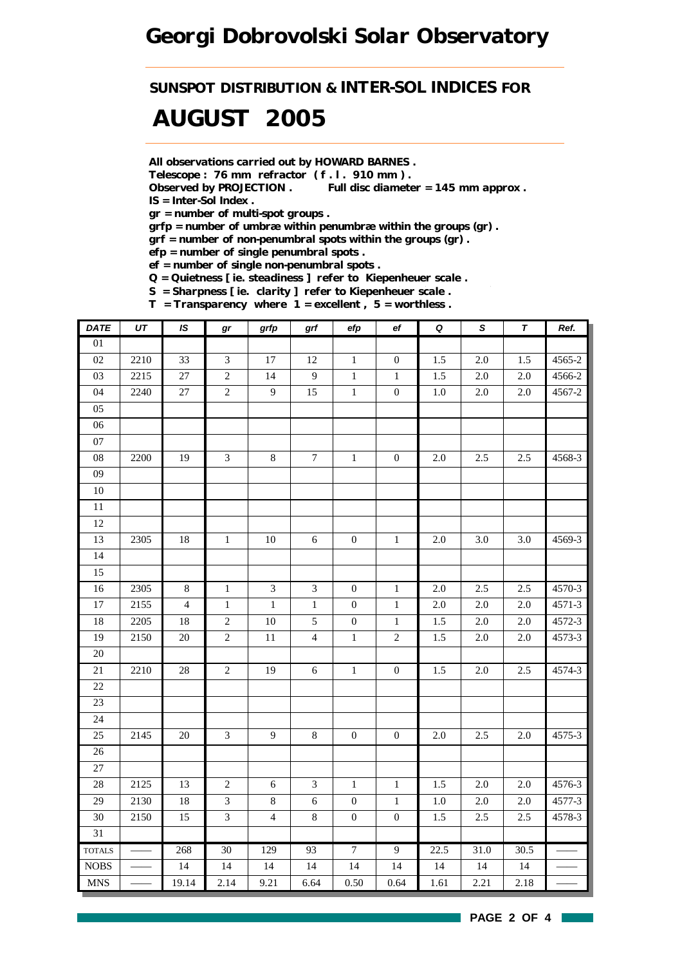*SUNSPOT DISTRIBUTION & INTER-SOL INDICES FOR*

# *AUGUST 2005*

*All observations carried out by HOWARD BARNES .*

*Telescope : 76 mm refractor ( f . l . 910 mm ) .*

*Observed by PROJECTION . Full disc diameter = 145 mm approx . IS = Inter-Sol Index .*

*gr = number of multi-spot groups .*

*grfp = number of umbræ within penumbræ within the groups (gr) .*

*grf = number of non-penumbral spots within the groups (gr) .*

*efp = number of single penumbral spots .*

*ef = number of single non-penumbral spots .*

*Q = Quietness [ ie. steadiness ] refer to Kiepenheuer scale .*

*S = Sharpness [ ie. clarity ] refer to Kiepenheuer scale .*

*T = Transparency where 1 = excellent , 5 = worthless .*

| <b>DATE</b>     | UT   | IS             | gr             | grfp             | grf              | efp              | ef               | $\pmb Q$ | S       | T       | Ref.     |
|-----------------|------|----------------|----------------|------------------|------------------|------------------|------------------|----------|---------|---------|----------|
| $\overline{01}$ |      |                |                |                  |                  |                  |                  |          |         |         |          |
| 02              | 2210 | 33             | $\overline{3}$ | 17               | 12               | $\mathbf{1}$     | $\mathbf{0}$     | 1.5      | 2.0     | 1.5     | 4565-2   |
| 03              | 2215 | $27\,$         | $\sqrt{2}$     | 14               | $\mathbf{9}$     | $\,1$            | $\mathbf{1}$     | 1.5      | $2.0\,$ | $2.0\,$ | 4566-2   |
| 04              | 2240 | $27\,$         | $\overline{c}$ | $\boldsymbol{9}$ | 15               | $\,1$            | $\boldsymbol{0}$ | $1.0\,$  | $2.0\,$ | $2.0\,$ | 4567-2   |
| 05              |      |                |                |                  |                  |                  |                  |          |         |         |          |
| 06              |      |                |                |                  |                  |                  |                  |          |         |         |          |
| 07              |      |                |                |                  |                  |                  |                  |          |         |         |          |
| 08              | 2200 | 19             | $\mathfrak{Z}$ | $8\,$            | $\boldsymbol{7}$ | $\,1\,$          | $\boldsymbol{0}$ | $2.0\,$  | 2.5     | 2.5     | 4568-3   |
| $09\,$          |      |                |                |                  |                  |                  |                  |          |         |         |          |
| $10\,$          |      |                |                |                  |                  |                  |                  |          |         |         |          |
| $11\,$          |      |                |                |                  |                  |                  |                  |          |         |         |          |
| $12\,$          |      |                |                |                  |                  |                  |                  |          |         |         |          |
| 13              | 2305 | $18\,$         | $\,1\,$        | $10\,$           | $6\,$            | $\boldsymbol{0}$ | $\mathbf{1}$     | $2.0\,$  | 3.0     | 3.0     | 4569-3   |
| 14              |      |                |                |                  |                  |                  |                  |          |         |         |          |
| 15              |      |                |                |                  |                  |                  |                  |          |         |         |          |
| 16              | 2305 | $8\,$          | $\,1\,$        | $\mathfrak{Z}$   | $\mathfrak{Z}$   | $\boldsymbol{0}$ | $\mathbf{1}$     | $2.0\,$  | 2.5     | 2.5     | 4570-3   |
| $17\,$          | 2155 | $\overline{4}$ | $\,1$          | $\,1\,$          | $\,1\,$          | $\boldsymbol{0}$ | $\mathbf 1$      | $2.0\,$  | $2.0\,$ | 2.0     | 4571-3   |
| 18              | 2205 | 18             | $\overline{c}$ | $10\,$           | 5                | $\boldsymbol{0}$ | $1\,$            | 1.5      | $2.0\,$ | 2.0     | 4572-3   |
| 19              | 2150 | $20\,$         | $\overline{c}$ | $11\,$           | $\overline{4}$   | $\,1\,$          | $\sqrt{2}$       | 1.5      | 2.0     | $2.0\,$ | 4573-3   |
| $\overline{20}$ |      |                |                |                  |                  |                  |                  |          |         |         |          |
| 21              | 2210 | 28             | $\overline{2}$ | 19               | 6                | $\mathbf{1}$     | $\boldsymbol{0}$ | 1.5      | 2.0     | 2.5     | 4574-3   |
| 22              |      |                |                |                  |                  |                  |                  |          |         |         |          |
| 23              |      |                |                |                  |                  |                  |                  |          |         |         |          |
| 24              |      |                |                |                  |                  |                  |                  |          |         |         |          |
| 25              | 2145 | 20             | $\mathfrak{Z}$ | 9                | $8\,$            | $\mathbf{0}$     | $\boldsymbol{0}$ | $2.0\,$  | 2.5     | $2.0\,$ | 4575-3   |
| 26              |      |                |                |                  |                  |                  |                  |          |         |         |          |
| 27              |      |                |                |                  |                  |                  |                  |          |         |         |          |
| 28              | 2125 | 13             | $\overline{c}$ | $\sqrt{6}$       | $\mathfrak{Z}$   | $\mathbf{1}$     | $\mathbf{1}$     | 1.5      | $2.0\,$ | $2.0\,$ | 4576-3   |
| 29              | 2130 | 18             | $\overline{3}$ | $8\,$            | $\sqrt{6}$       | $\boldsymbol{0}$ | $\,1\,$          | $1.0\,$  | 2.0     | $2.0\,$ | $4577-3$ |
| 30              | 2150 | 15             | $\mathfrak{Z}$ | $\overline{4}$   | $\,8\,$          | $\boldsymbol{0}$ | $\boldsymbol{0}$ | 1.5      | 2.5     | 2.5     | 4578-3   |
| 31              |      |                |                |                  |                  |                  |                  |          |         |         |          |
| <b>TOTALS</b>   |      | 268            | 30             | 129              | 93               | $\overline{7}$   | $\overline{9}$   | 22.5     | 31.0    | 30.5    |          |
| $\rm{NOBS}$     |      | 14             | 14             | 14               | 14               | 14               | 14               | 14       | 14      | 14      |          |
| <b>MNS</b>      |      | 19.14          | 2.14           | 9.21             | 6.64             | 0.50             | 0.64             | 1.61     | 2.21    | 2.18    |          |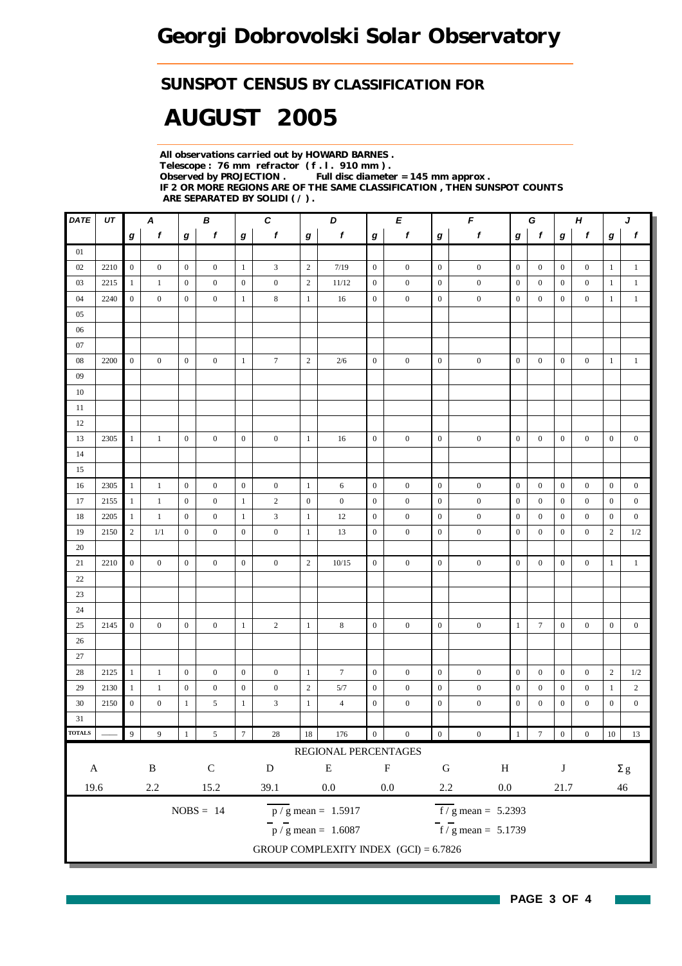### *SUNSPOT CENSUS BY CLASSIFICATION FOR*

# *AUGUST 2005*

*All observations carried out by HOWARD BARNES . Telescope : 76 mm refractor ( f . l . 910 mm ) . Full disc diameter = 145 mm approx . IF 2 OR MORE REGIONS ARE OF THE SAME CLASSIFICATION , THEN SUNSPOT COUNTS ARE SEPARATED BY SOLIDI ( / ) .*

| $\overline{DATE}$               | UT   | В<br>A           |                  |                  | $\pmb{C}$<br>D   |                  | Е                |                  | $\mathbf{F}$                            |                           | G                |                  | H                   |                  | J                |                  |                  |                  |                  |
|---------------------------------|------|------------------|------------------|------------------|------------------|------------------|------------------|------------------|-----------------------------------------|---------------------------|------------------|------------------|---------------------|------------------|------------------|------------------|------------------|------------------|------------------|
|                                 |      | $\boldsymbol{g}$ | f                | $\boldsymbol{g}$ | f                | $\bm{g}$         | $\mathbf f$      | $\boldsymbol{g}$ | f                                       | $\boldsymbol{g}$          | f                | $\boldsymbol{g}$ | $\pmb{f}$           | $\boldsymbol{g}$ | $\mathbf f$      | $\bm{g}$         | f                | g                | $\boldsymbol{f}$ |
| 01                              |      |                  |                  |                  |                  |                  |                  |                  |                                         |                           |                  |                  |                     |                  |                  |                  |                  |                  |                  |
| 02                              | 2210 | $\mathbf{0}$     | $\overline{0}$   | $\mathbf{0}$     | $\mathbf{0}$     | $\mathbf{1}$     | $\mathfrak{Z}$   | $\sqrt{2}$       | 7/19                                    | $\overline{0}$            | $\bf{0}$         | $\mathbf{0}$     | $\boldsymbol{0}$    | $\mathbf{0}$     | $\overline{0}$   | $\boldsymbol{0}$ | $\boldsymbol{0}$ | $\mathbf{1}$     | $\mathbf{1}$     |
| 03                              | 2215 | $\mathbf{1}$     | $\mathbf{1}$     | $\mathbf{0}$     | $\boldsymbol{0}$ | $\boldsymbol{0}$ | $\boldsymbol{0}$ | $\sqrt{2}$       | 11/12                                   | $\mathbf{0}$              | $\boldsymbol{0}$ | $\boldsymbol{0}$ | $\boldsymbol{0}$    | $\boldsymbol{0}$ | $\mathbf{0}$     | $\boldsymbol{0}$ | $\boldsymbol{0}$ | $\mathbf{1}$     | $\mathbf{1}$     |
| 04                              | 2240 | $\boldsymbol{0}$ | $\boldsymbol{0}$ | $\boldsymbol{0}$ | $\boldsymbol{0}$ | $\mathbf{1}$     | 8                | $\mathbf{1}$     | 16                                      | $\boldsymbol{0}$          | $\boldsymbol{0}$ | $\mathbf{0}$     | $\boldsymbol{0}$    | $\mathbf{0}$     | $\mathbf{0}$     | $\boldsymbol{0}$ | $\boldsymbol{0}$ | 1                | $\mathbf{1}$     |
| 05                              |      |                  |                  |                  |                  |                  |                  |                  |                                         |                           |                  |                  |                     |                  |                  |                  |                  |                  |                  |
| 06                              |      |                  |                  |                  |                  |                  |                  |                  |                                         |                           |                  |                  |                     |                  |                  |                  |                  |                  |                  |
| 07                              |      |                  |                  |                  |                  |                  |                  |                  |                                         |                           |                  |                  |                     |                  |                  |                  |                  |                  |                  |
| 08                              | 2200 | $\overline{0}$   | $\boldsymbol{0}$ | $\mathbf{0}$     | $\boldsymbol{0}$ | $\mathbf{1}$     | $\tau$           | $\overline{c}$   | 2/6                                     | $\overline{0}$            | $\boldsymbol{0}$ | $\boldsymbol{0}$ | $\boldsymbol{0}$    | $\overline{0}$   | $\boldsymbol{0}$ | $\boldsymbol{0}$ | $\boldsymbol{0}$ | $\mathbf{1}$     | $\mathbf{1}$     |
| 09                              |      |                  |                  |                  |                  |                  |                  |                  |                                         |                           |                  |                  |                     |                  |                  |                  |                  |                  |                  |
| 10                              |      |                  |                  |                  |                  |                  |                  |                  |                                         |                           |                  |                  |                     |                  |                  |                  |                  |                  |                  |
| 11                              |      |                  |                  |                  |                  |                  |                  |                  |                                         |                           |                  |                  |                     |                  |                  |                  |                  |                  |                  |
| 12                              |      |                  |                  |                  |                  |                  |                  |                  |                                         |                           |                  |                  |                     |                  |                  |                  |                  |                  |                  |
| 13                              | 2305 | -1               | $\mathbf{1}$     | $\mathbf{0}$     | $\mathbf{0}$     | $\mathbf{0}$     | $\overline{0}$   | $\mathbf{1}$     | 16                                      | $\mathbf{0}$              | $\mathbf{0}$     | $\mathbf{0}$     | $\boldsymbol{0}$    | $\boldsymbol{0}$ | $\boldsymbol{0}$ | $\boldsymbol{0}$ | $\mathbf{0}$     | $\overline{0}$   | $\boldsymbol{0}$ |
| 14                              |      |                  |                  |                  |                  |                  |                  |                  |                                         |                           |                  |                  |                     |                  |                  |                  |                  |                  |                  |
| 15                              |      |                  |                  |                  |                  |                  |                  |                  |                                         |                           |                  |                  |                     |                  |                  |                  |                  |                  |                  |
| 16                              | 2305 | 1                | $\mathbf{1}$     | $\mathbf{0}$     | $\boldsymbol{0}$ | $\boldsymbol{0}$ | $\boldsymbol{0}$ | $\mathbf{1}$     | 6                                       | $\mathbf{0}$              | $\boldsymbol{0}$ | $\boldsymbol{0}$ | $\boldsymbol{0}$    | $\boldsymbol{0}$ | $\boldsymbol{0}$ | $\boldsymbol{0}$ | $\boldsymbol{0}$ | $\boldsymbol{0}$ | $\boldsymbol{0}$ |
| 17                              | 2155 | -1               | $\mathbf{1}$     | $\mathbf{0}$     | $\mathbf{0}$     | $\mathbf{1}$     | $\overline{c}$   | $\boldsymbol{0}$ | $\boldsymbol{0}$                        | $\mathbf{0}$              | $\boldsymbol{0}$ | $\mathbf{0}$     | $\boldsymbol{0}$    | $\boldsymbol{0}$ | $\boldsymbol{0}$ | $\mathbf{0}$     | $\mathbf{0}$     | $\mathbf{0}$     | $\mathbf{0}$     |
| 18                              | 2205 | $\mathbf{1}$     | $\mathbf{1}$     | $\mathbf{0}$     | $\boldsymbol{0}$ | $\mathbf{1}$     | $\mathfrak{Z}$   | $\,1$            | 12                                      | $\boldsymbol{0}$          | $\boldsymbol{0}$ | $\boldsymbol{0}$ | $\boldsymbol{0}$    | $\boldsymbol{0}$ | $\boldsymbol{0}$ | $\boldsymbol{0}$ | $\boldsymbol{0}$ | $\boldsymbol{0}$ | $\boldsymbol{0}$ |
| 19                              | 2150 | $\overline{c}$   | 1/1              | $\boldsymbol{0}$ | $\boldsymbol{0}$ | $\boldsymbol{0}$ | $\boldsymbol{0}$ | $\,1$            | 13                                      | $\boldsymbol{0}$          | $\boldsymbol{0}$ | $\mathbf{0}$     | $\boldsymbol{0}$    | $\boldsymbol{0}$ | $\mathbf{0}$     | $\boldsymbol{0}$ | $\boldsymbol{0}$ | $\overline{c}$   | 1/2              |
| 20                              |      |                  |                  |                  |                  |                  |                  |                  |                                         |                           |                  |                  |                     |                  |                  |                  |                  |                  |                  |
| 21                              | 2210 | $\mathbf{0}$     | $\mathbf{0}$     | $\mathbf{0}$     | $\mathbf{0}$     | $\boldsymbol{0}$ | $\boldsymbol{0}$ | $\sqrt{2}$       | 10/15                                   | $\mathbf{0}$              | $\mathbf{0}$     | $\boldsymbol{0}$ | $\boldsymbol{0}$    | $\boldsymbol{0}$ | $\mathbf{0}$     | $\boldsymbol{0}$ | $\boldsymbol{0}$ | $\mathbf{1}$     | $\mathbf{1}$     |
| 22                              |      |                  |                  |                  |                  |                  |                  |                  |                                         |                           |                  |                  |                     |                  |                  |                  |                  |                  |                  |
| 23                              |      |                  |                  |                  |                  |                  |                  |                  |                                         |                           |                  |                  |                     |                  |                  |                  |                  |                  |                  |
| 24                              |      |                  |                  |                  |                  |                  |                  |                  |                                         |                           |                  |                  |                     |                  |                  |                  |                  |                  |                  |
| 25                              | 2145 | $\mathbf{0}$     | $\boldsymbol{0}$ | $\mathbf{0}$     | $\overline{0}$   | $\mathbf{1}$     | $\overline{c}$   | $\mathbf{1}$     | 8                                       | $\boldsymbol{0}$          | $\boldsymbol{0}$ | $\boldsymbol{0}$ | $\boldsymbol{0}$    | $\mathbf{1}$     | $\tau$           | $\boldsymbol{0}$ | $\boldsymbol{0}$ | $\boldsymbol{0}$ | $\boldsymbol{0}$ |
| 26                              |      |                  |                  |                  |                  |                  |                  |                  |                                         |                           |                  |                  |                     |                  |                  |                  |                  |                  |                  |
| 27                              |      |                  |                  |                  |                  |                  |                  |                  |                                         |                           |                  |                  |                     |                  |                  |                  |                  |                  |                  |
| 28                              | 2125 | $\mathbf{1}$     | $\mathbf{1}$     | $\mathbf{0}$     | $\overline{0}$   | $\mathbf{0}$     | $\boldsymbol{0}$ | $\mathbf{1}$     | $7\phantom{.0}$                         | $\boldsymbol{0}$          | $\boldsymbol{0}$ | $\boldsymbol{0}$ | $\boldsymbol{0}$    | $\mathbf{0}$     | $\boldsymbol{0}$ | $\boldsymbol{0}$ | $\boldsymbol{0}$ | $\sqrt{2}$       | 1/2              |
| 29                              | 2130 | 1                | $\mathbf{1}$     | $\boldsymbol{0}$ | $\boldsymbol{0}$ | $\boldsymbol{0}$ | $\boldsymbol{0}$ | $\sqrt{2}$       | 5/7                                     | $\boldsymbol{0}$          | $\boldsymbol{0}$ | $\boldsymbol{0}$ | $\boldsymbol{0}$    | $\boldsymbol{0}$ | $\boldsymbol{0}$ | $\boldsymbol{0}$ | $\boldsymbol{0}$ | 1                | $\overline{c}$   |
| 30                              | 2150 | $\boldsymbol{0}$ | $\boldsymbol{0}$ | $\mathbf{1}$     | 5                | $\mathbf{1}$     | 3                | $\mathbf{1}$     | $\overline{4}$                          | $\mathbf{0}$              | $\boldsymbol{0}$ | $\boldsymbol{0}$ | $\boldsymbol{0}$    | $\mathbf{0}$     | $\boldsymbol{0}$ | $\boldsymbol{0}$ | $\boldsymbol{0}$ | $\boldsymbol{0}$ | $\boldsymbol{0}$ |
| 31                              |      |                  |                  |                  |                  |                  |                  |                  |                                         |                           |                  |                  |                     |                  |                  |                  |                  |                  |                  |
| <b>TOTALS</b>                   |      | $\overline{9}$   | 9                | $\mathbf{1}$     | $\sqrt{5}$       | $\overline{7}$   | $28\,$           | $18\,$           | 176                                     | $\boldsymbol{0}$          | $\boldsymbol{0}$ | $\mathbf{0}^-$   | $\boldsymbol{0}$    | $1\,$            | $\frac{1}{7}$    | $\boldsymbol{0}$ | $\boldsymbol{0}$ | 10 <sup>°</sup>  | 13               |
|                                 |      |                  |                  |                  |                  |                  |                  |                  | REGIONAL PERCENTAGES                    |                           |                  |                  |                     |                  |                  |                  |                  |                  |                  |
|                                 |      |                  |                  |                  |                  |                  |                  |                  |                                         |                           |                  |                  |                     |                  |                  |                  |                  |                  |                  |
| $\mathbf{A}$                    |      |                  | $\, {\bf B}$     |                  | $\mathbf C$      |                  | ${\bf D}$        |                  | ${\bf E}$                               |                           | $\mathbf F$      | ${\bf G}$        | $\, {\rm H}$        |                  |                  | $\bf J$          |                  |                  | $\Sigma$ g       |
| 19.6<br>$2.2\,$<br>15.2<br>39.1 |      |                  |                  |                  | $0.0\,$          |                  | $0.0\,$          | $2.2\,$          |                                         | $0.0\,$<br>21.7<br>$46\,$ |                  |                  |                     |                  |                  |                  |                  |                  |                  |
|                                 |      |                  |                  |                  | $NOBS = 14$      |                  |                  |                  | $p / g$ mean = 1.5917                   |                           |                  |                  | $f/g$ mean = 5.2393 |                  |                  |                  |                  |                  |                  |
|                                 |      |                  |                  |                  |                  |                  |                  |                  | $\bar{p}$ / g mean = 1.6087             |                           |                  |                  | $f/g$ mean = 5.1739 |                  |                  |                  |                  |                  |                  |
|                                 |      |                  |                  |                  |                  |                  |                  |                  | GROUP COMPLEXITY INDEX $(GCI) = 6.7826$ |                           |                  |                  |                     |                  |                  |                  |                  |                  |                  |
|                                 |      |                  |                  |                  |                  |                  |                  |                  |                                         |                           |                  |                  |                     |                  |                  |                  |                  |                  |                  |